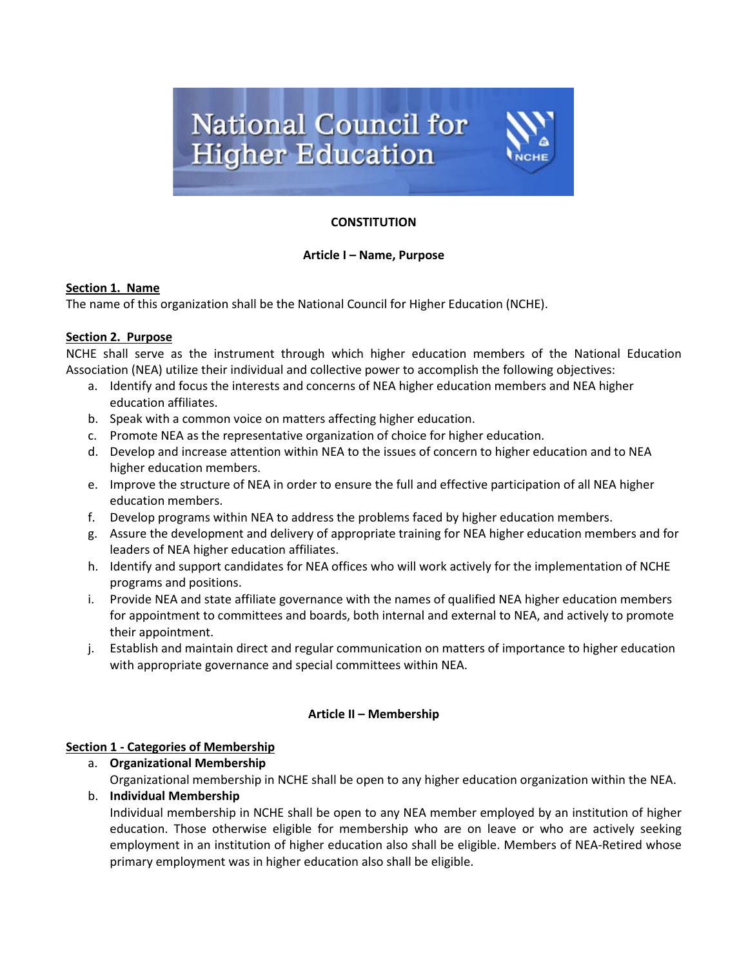

## **CONSTITUTION**

## **Article I – Name, Purpose**

#### **Section 1. Name**

The name of this organization shall be the National Council for Higher Education (NCHE).

#### **Section 2. Purpose**

NCHE shall serve as the instrument through which higher education members of the National Education Association (NEA) utilize their individual and collective power to accomplish the following objectives:

- a. Identify and focus the interests and concerns of NEA higher education members and NEA higher education affiliates.
- b. Speak with a common voice on matters affecting higher education.
- c. Promote NEA as the representative organization of choice for higher education.
- d. Develop and increase attention within NEA to the issues of concern to higher education and to NEA higher education members.
- e. Improve the structure of NEA in order to ensure the full and effective participation of all NEA higher education members.
- f. Develop programs within NEA to address the problems faced by higher education members.
- g. Assure the development and delivery of appropriate training for NEA higher education members and for leaders of NEA higher education affiliates.
- h. Identify and support candidates for NEA offices who will work actively for the implementation of NCHE programs and positions.
- i. Provide NEA and state affiliate governance with the names of qualified NEA higher education members for appointment to committees and boards, both internal and external to NEA, and actively to promote their appointment.
- j. Establish and maintain direct and regular communication on matters of importance to higher education with appropriate governance and special committees within NEA.

## **Article II – Membership**

## **Section 1 - Categories of Membership**

a. **Organizational Membership** Organizational membership in NCHE shall be open to any higher education organization within the NEA.

# b. **Individual Membership**

Individual membership in NCHE shall be open to any NEA member employed by an institution of higher education. Those otherwise eligible for membership who are on leave or who are actively seeking employment in an institution of higher education also shall be eligible. Members of NEA-Retired whose primary employment was in higher education also shall be eligible.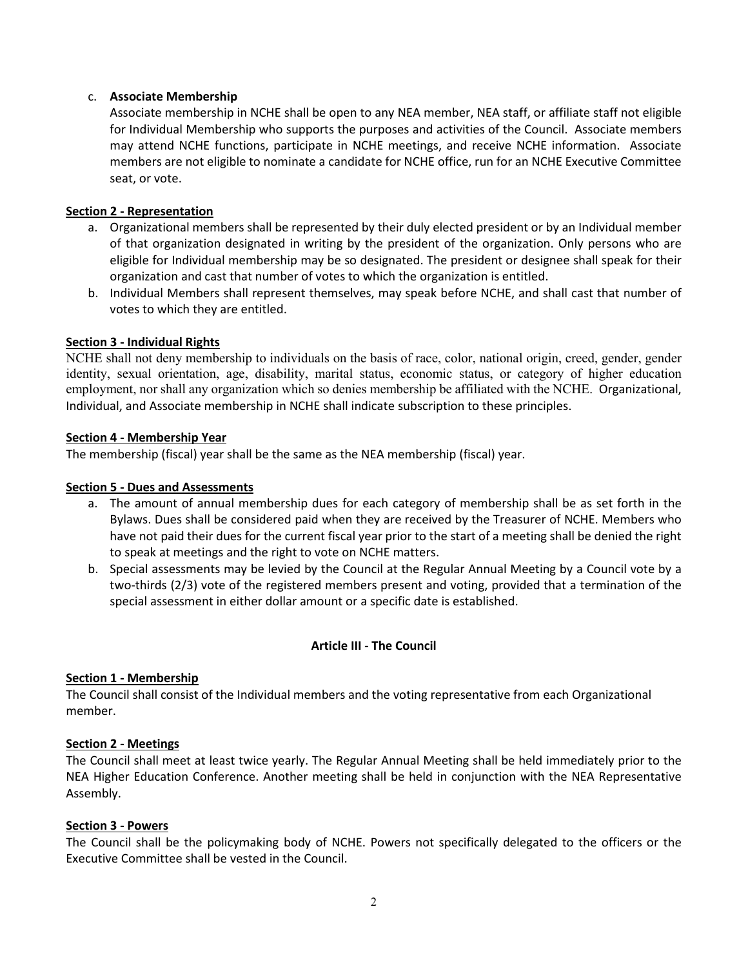## c. **Associate Membership**

Associate membership in NCHE shall be open to any NEA member, NEA staff, or affiliate staff not eligible for Individual Membership who supports the purposes and activities of the Council. Associate members may attend NCHE functions, participate in NCHE meetings, and receive NCHE information. Associate members are not eligible to nominate a candidate for NCHE office, run for an NCHE Executive Committee seat, or vote.

## **Section 2 - Representation**

- a. Organizational members shall be represented by their duly elected president or by an Individual member of that organization designated in writing by the president of the organization. Only persons who are eligible for Individual membership may be so designated. The president or designee shall speak for their organization and cast that number of votes to which the organization is entitled.
- b. Individual Members shall represent themselves, may speak before NCHE, and shall cast that number of votes to which they are entitled.

## **Section 3 - Individual Rights**

NCHE shall not deny membership to individuals on the basis of race, color, national origin, creed, gender, gender identity, sexual orientation, age, disability, marital status, economic status, or category of higher education employment, nor shall any organization which so denies membership be affiliated with the NCHE. Organizational, Individual, and Associate membership in NCHE shall indicate subscription to these principles.

## **Section 4 - Membership Year**

The membership (fiscal) year shall be the same as the NEA membership (fiscal) year.

## **Section 5 - Dues and Assessments**

- a. The amount of annual membership dues for each category of membership shall be as set forth in the Bylaws. Dues shall be considered paid when they are received by the Treasurer of NCHE. Members who have not paid their dues for the current fiscal year prior to the start of a meeting shall be denied the right to speak at meetings and the right to vote on NCHE matters.
- b. Special assessments may be levied by the Council at the Regular Annual Meeting by a Council vote by a two-thirds (2/3) vote of the registered members present and voting, provided that a termination of the special assessment in either dollar amount or a specific date is established.

## **Article III - The Council**

## **Section 1 - Membership**

The Council shall consist of the Individual members and the voting representative from each Organizational member.

## **Section 2 - Meetings**

The Council shall meet at least twice yearly. The Regular Annual Meeting shall be held immediately prior to the NEA Higher Education Conference. Another meeting shall be held in conjunction with the NEA Representative Assembly.

## **Section 3 - Powers**

The Council shall be the policymaking body of NCHE. Powers not specifically delegated to the officers or the Executive Committee shall be vested in the Council.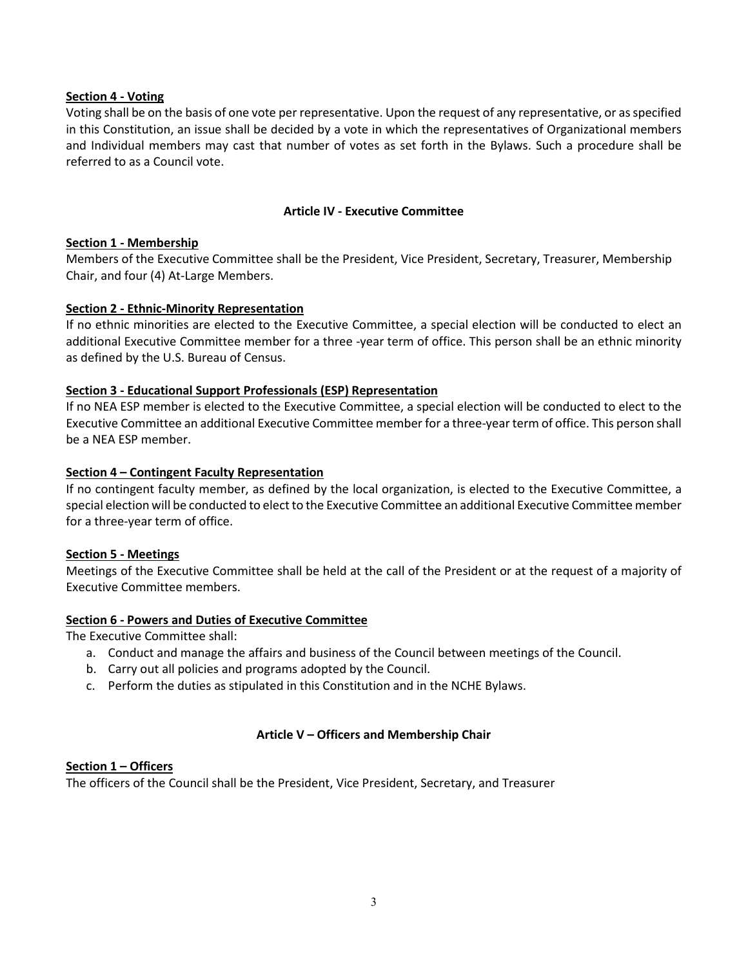#### **Section 4 - Voting**

Voting shall be on the basis of one vote per representative. Upon the request of any representative, or as specified in this Constitution, an issue shall be decided by a vote in which the representatives of Organizational members and Individual members may cast that number of votes as set forth in the Bylaws. Such a procedure shall be referred to as a Council vote.

#### **Article IV - Executive Committee**

#### **Section 1 - Membership**

Members of the Executive Committee shall be the President, Vice President, Secretary, Treasurer, Membership Chair, and four (4) At-Large Members.

#### **Section 2 - Ethnic-Minority Representation**

If no ethnic minorities are elected to the Executive Committee, a special election will be conducted to elect an additional Executive Committee member for a three -year term of office. This person shall be an ethnic minority as defined by the U.S. Bureau of Census.

#### **Section 3 - Educational Support Professionals (ESP) Representation**

If no NEA ESP member is elected to the Executive Committee, a special election will be conducted to elect to the Executive Committee an additional Executive Committee member for a three-year term of office. This person shall be a NEA ESP member.

#### **Section 4 – Contingent Faculty Representation**

If no contingent faculty member, as defined by the local organization, is elected to the Executive Committee, a special election will be conducted to elect to the Executive Committee an additional Executive Committee member for a three-year term of office.

## **Section 5 - Meetings**

Meetings of the Executive Committee shall be held at the call of the President or at the request of a majority of Executive Committee members.

#### **Section 6 - Powers and Duties of Executive Committee**

The Executive Committee shall:

- a. Conduct and manage the affairs and business of the Council between meetings of the Council.
- b. Carry out all policies and programs adopted by the Council.
- c. Perform the duties as stipulated in this Constitution and in the NCHE Bylaws.

## **Article V – Officers and Membership Chair**

#### **Section 1 – Officers**

The officers of the Council shall be the President, Vice President, Secretary, and Treasurer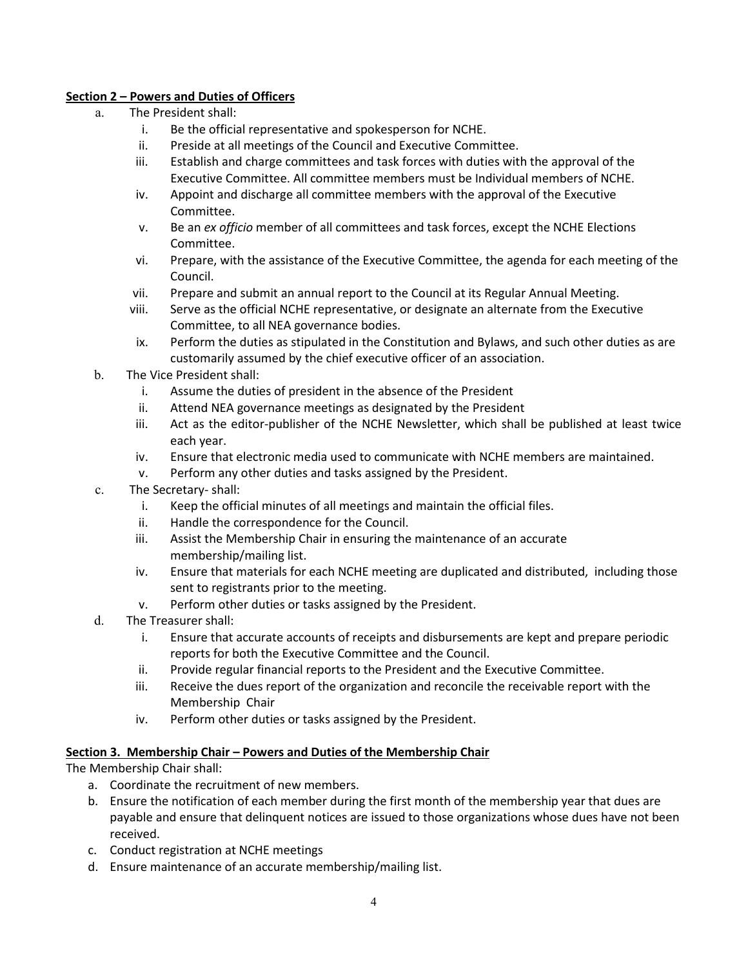## **Section 2 – Powers and Duties of Officers**

- a. The President shall:
	- i. Be the official representative and spokesperson for NCHE.
	- ii. Preside at all meetings of the Council and Executive Committee.
	- iii. Establish and charge committees and task forces with duties with the approval of the Executive Committee. All committee members must be Individual members of NCHE.
	- iv. Appoint and discharge all committee members with the approval of the Executive Committee.
	- v. Be an *ex officio* member of all committees and task forces, except the NCHE Elections Committee.
	- vi. Prepare, with the assistance of the Executive Committee, the agenda for each meeting of the Council.
	- vii. Prepare and submit an annual report to the Council at its Regular Annual Meeting.
	- viii. Serve as the official NCHE representative, or designate an alternate from the Executive Committee, to all NEA governance bodies.
	- ix. Perform the duties as stipulated in the Constitution and Bylaws, and such other duties as are customarily assumed by the chief executive officer of an association.
- b. The Vice President shall:
	- i. Assume the duties of president in the absence of the President
	- ii. Attend NEA governance meetings as designated by the President
	- iii. Act as the editor-publisher of the NCHE Newsletter, which shall be published at least twice each year.
	- iv. Ensure that electronic media used to communicate with NCHE members are maintained.
	- v. Perform any other duties and tasks assigned by the President.
- c. The Secretary- shall:
	- i. Keep the official minutes of all meetings and maintain the official files.
	- ii. Handle the correspondence for the Council.
	- iii. Assist the Membership Chair in ensuring the maintenance of an accurate membership/mailing list.
	- iv. Ensure that materials for each NCHE meeting are duplicated and distributed, including those sent to registrants prior to the meeting.
	- v. Perform other duties or tasks assigned by the President.
- d. The Treasurer shall:
	- i. Ensure that accurate accounts of receipts and disbursements are kept and prepare periodic reports for both the Executive Committee and the Council.
	- ii. Provide regular financial reports to the President and the Executive Committee.
	- iii. Receive the dues report of the organization and reconcile the receivable report with the Membership Chair
	- iv. Perform other duties or tasks assigned by the President.

## **Section 3. Membership Chair – Powers and Duties of the Membership Chair**

The Membership Chair shall:

- a. Coordinate the recruitment of new members.
- b. Ensure the notification of each member during the first month of the membership year that dues are payable and ensure that delinquent notices are issued to those organizations whose dues have not been received.
- c. Conduct registration at NCHE meetings
- d. Ensure maintenance of an accurate membership/mailing list.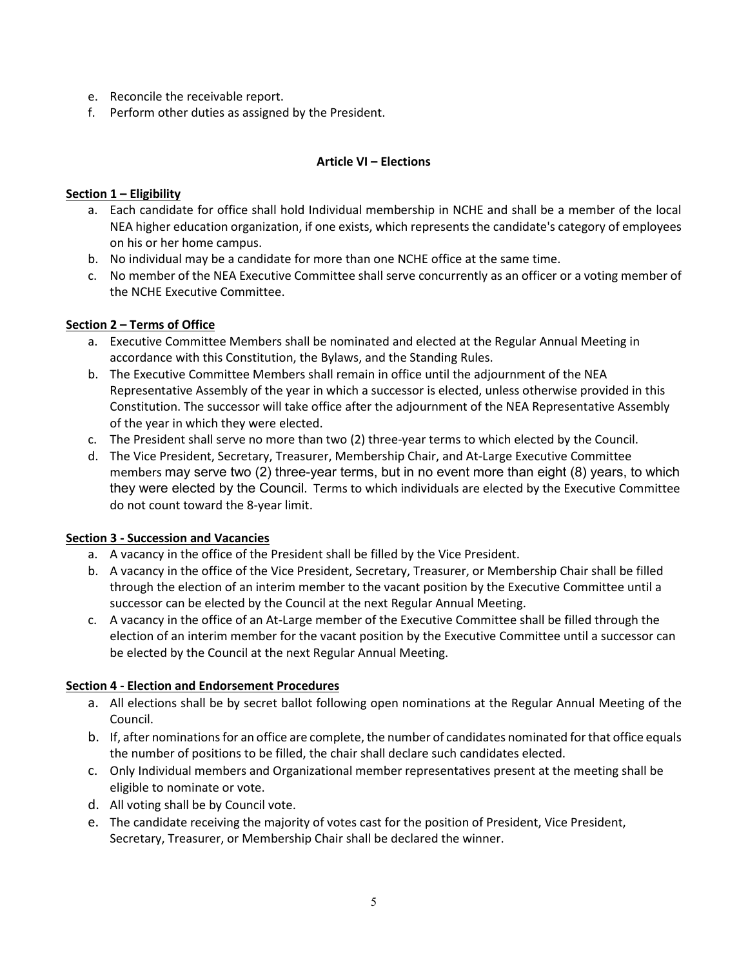- e. Reconcile the receivable report.
- f. Perform other duties as assigned by the President.

## **Article VI – Elections**

## **Section 1 – Eligibility**

- a. Each candidate for office shall hold Individual membership in NCHE and shall be a member of the local NEA higher education organization, if one exists, which represents the candidate's category of employees on his or her home campus.
- b. No individual may be a candidate for more than one NCHE office at the same time.
- c. No member of the NEA Executive Committee shall serve concurrently as an officer or a voting member of the NCHE Executive Committee.

## **Section 2 – Terms of Office**

- a. Executive Committee Members shall be nominated and elected at the Regular Annual Meeting in accordance with this Constitution, the Bylaws, and the Standing Rules.
- b. The Executive Committee Members shall remain in office until the adjournment of the NEA Representative Assembly of the year in which a successor is elected, unless otherwise provided in this Constitution. The successor will take office after the adjournment of the NEA Representative Assembly of the year in which they were elected.
- c. The President shall serve no more than two (2) three-year terms to which elected by the Council.
- d. The Vice President, Secretary, Treasurer, Membership Chair, and At-Large Executive Committee members may serve two (2) three-year terms, but in no event more than eight (8) years, to which they were elected by the Council. Terms to which individuals are elected by the Executive Committee do not count toward the 8-year limit.

## **Section 3 - Succession and Vacancies**

- a. A vacancy in the office of the President shall be filled by the Vice President.
- b. A vacancy in the office of the Vice President, Secretary, Treasurer, or Membership Chair shall be filled through the election of an interim member to the vacant position by the Executive Committee until a successor can be elected by the Council at the next Regular Annual Meeting.
- c. A vacancy in the office of an At-Large member of the Executive Committee shall be filled through the election of an interim member for the vacant position by the Executive Committee until a successor can be elected by the Council at the next Regular Annual Meeting.

## **Section 4 - Election and Endorsement Procedures**

- a. All elections shall be by secret ballot following open nominations at the Regular Annual Meeting of the Council.
- b. If, after nominations for an office are complete, the number of candidates nominated for that office equals the number of positions to be filled, the chair shall declare such candidates elected.
- c. Only Individual members and Organizational member representatives present at the meeting shall be eligible to nominate or vote.
- d. All voting shall be by Council vote.
- e. The candidate receiving the majority of votes cast for the position of President, Vice President, Secretary, Treasurer, or Membership Chair shall be declared the winner.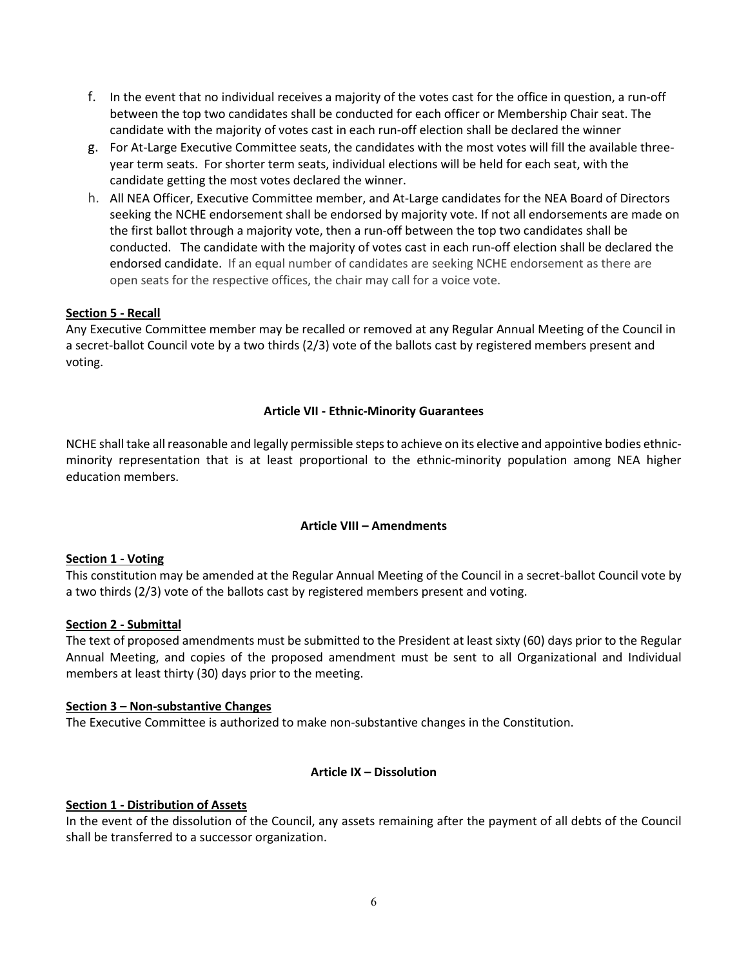- f. In the event that no individual receives a majority of the votes cast for the office in question, a run-off between the top two candidates shall be conducted for each officer or Membership Chair seat. The candidate with the majority of votes cast in each run-off election shall be declared the winner
- g. For At-Large Executive Committee seats, the candidates with the most votes will fill the available threeyear term seats. For shorter term seats, individual elections will be held for each seat, with the candidate getting the most votes declared the winner.
- h. All NEA Officer, Executive Committee member, and At-Large candidates for the NEA Board of Directors seeking the NCHE endorsement shall be endorsed by majority vote. If not all endorsements are made on the first ballot through a majority vote, then a run-off between the top two candidates shall be conducted. The candidate with the majority of votes cast in each run-off election shall be declared the endorsed candidate. If an equal number of candidates are seeking NCHE endorsement as there are open seats for the respective offices, the chair may call for a voice vote.

## **Section 5 - Recall**

Any Executive Committee member may be recalled or removed at any Regular Annual Meeting of the Council in a secret-ballot Council vote by a two thirds (2/3) vote of the ballots cast by registered members present and voting.

#### **Article VII - Ethnic-Minority Guarantees**

NCHE shall take all reasonable and legally permissible steps to achieve on its elective and appointive bodies ethnicminority representation that is at least proportional to the ethnic-minority population among NEA higher education members.

#### **Article VIII – Amendments**

#### **Section 1 - Voting**

This constitution may be amended at the Regular Annual Meeting of the Council in a secret-ballot Council vote by a two thirds (2/3) vote of the ballots cast by registered members present and voting.

#### **Section 2 - Submittal**

The text of proposed amendments must be submitted to the President at least sixty (60) days prior to the Regular Annual Meeting, and copies of the proposed amendment must be sent to all Organizational and Individual members at least thirty (30) days prior to the meeting.

#### **Section 3 – Non-substantive Changes**

The Executive Committee is authorized to make non-substantive changes in the Constitution.

#### **Article IX – Dissolution**

#### **Section 1 - Distribution of Assets**

In the event of the dissolution of the Council, any assets remaining after the payment of all debts of the Council shall be transferred to a successor organization.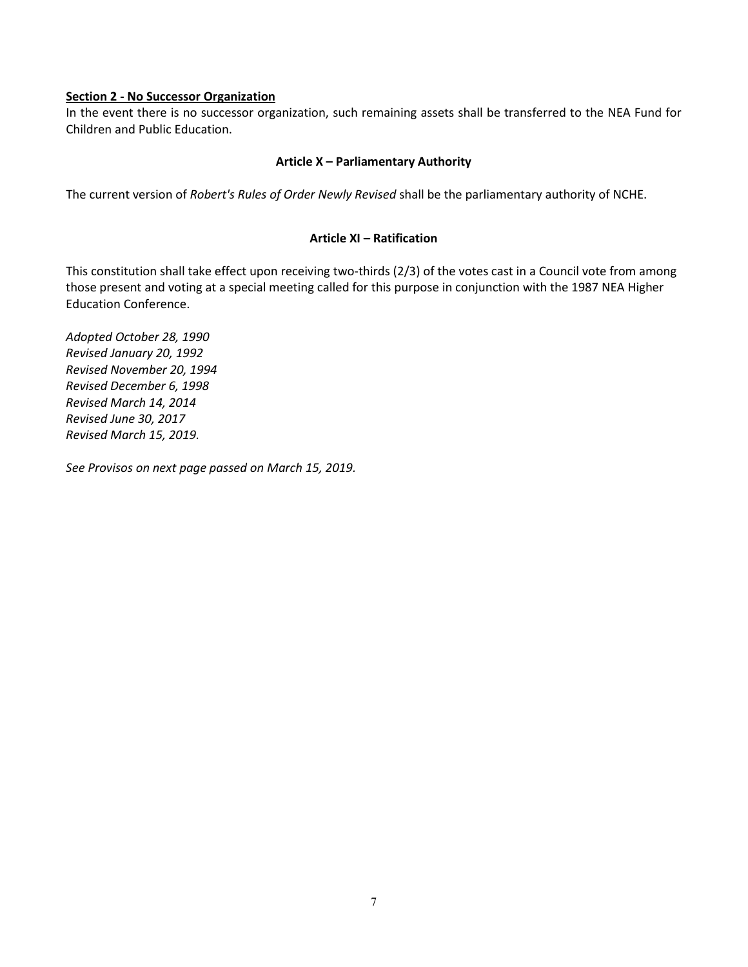#### **Section 2 - No Successor Organization**

In the event there is no successor organization, such remaining assets shall be transferred to the NEA Fund for Children and Public Education.

#### **Article X – Parliamentary Authority**

The current version of *Robert's Rules of Order Newly Revised* shall be the parliamentary authority of NCHE.

#### **Article XI – Ratification**

This constitution shall take effect upon receiving two-thirds (2/3) of the votes cast in a Council vote from among those present and voting at a special meeting called for this purpose in conjunction with the 1987 NEA Higher Education Conference.

*Adopted October 28, 1990 Revised January 20, 1992 Revised November 20, 1994 Revised December 6, 1998 Revised March 14, 2014 Revised June 30, 2017 Revised March 15, 2019.* 

*See Provisos on next page passed on March 15, 2019.*